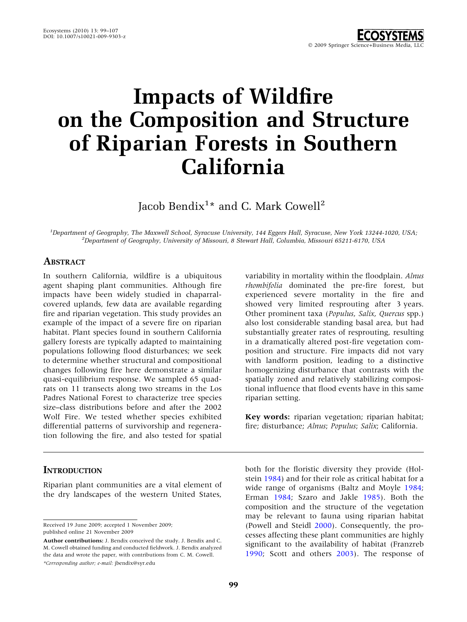# Impacts of Wildfire on the Composition and Structure of Riparian Forests in Southern California

Jacob Bendix $^{1\star}$  and C. Mark Cowell $^{2}$ 

<sup>1</sup>Department of Geography, The Maxwell School, Syracuse University, 144 Eggers Hall, Syracuse, New York 13244-1020, USA;<br><sup>2</sup>Department of Ceography, University of Missouri, 8 Stowart Hall, Columbia, Missouri 65211, 6170,  $^{2}$ Department of Geography, University of Missouri, 8 Stewart Hall, Columbia, Missouri 65211-6170, USA

## **ABSTRACT**

In southern California, wildfire is a ubiquitous agent shaping plant communities. Although fire impacts have been widely studied in chaparralcovered uplands, few data are available regarding fire and riparian vegetation. This study provides an example of the impact of a severe fire on riparian habitat. Plant species found in southern California gallery forests are typically adapted to maintaining populations following flood disturbances; we seek to determine whether structural and compositional changes following fire here demonstrate a similar quasi-equilibrium response. We sampled 65 quadrats on 11 transects along two streams in the Los Padres National Forest to characterize tree species size–class distributions before and after the 2002 Wolf Fire. We tested whether species exhibited differential patterns of survivorship and regeneration following the fire, and also tested for spatial

# **INTRODUCTION**

Riparian plant communities are a vital element of the dry landscapes of the western United States,

Received 19 June 2009; accepted 1 November 2009; published online 21 November 2009

variability in mortality within the floodplain. Alnus rhombifolia dominated the pre-fire forest, but experienced severe mortality in the fire and showed very limited resprouting after 3 years. Other prominent taxa (Populus, Salix, Quercus spp.) also lost considerable standing basal area, but had substantially greater rates of resprouting, resulting in a dramatically altered post-fire vegetation composition and structure. Fire impacts did not vary with landform position, leading to a distinctive homogenizing disturbance that contrasts with the spatially zoned and relatively stabilizing compositional influence that flood events have in this same riparian setting.

Key words: riparian vegetation; riparian habitat; fire; disturbance; Alnus; Populus; Salix; California.

both for the floristic diversity they provide (Holstein [1984\)](#page-7-0) and for their role as critical habitat for a wide range of organisms (Baltz and Moyle [1984](#page-7-0); Erman [1984](#page-7-0); Szaro and Jakle [1985\)](#page-8-0). Both the composition and the structure of the vegetation may be relevant to fauna using riparian habitat (Powell and Steidl [2000](#page-8-0)). Consequently, the processes affecting these plant communities are highly significant to the availability of habitat (Franzreb [1990;](#page-7-0) Scott and others [2003\)](#page-8-0). The response of

Author contributions: J. Bendix conceived the study. J. Bendix and C. M. Cowell obtained funding and conducted fieldwork. J. Bendix analyzed the data and wrote the paper, with contributions from C. M. Cowell. \*Corresponding author; e-mail: jbendix@syr.edu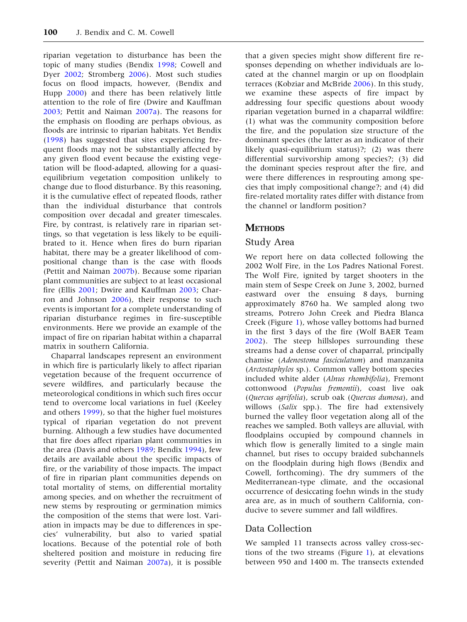riparian vegetation to disturbance has been the topic of many studies (Bendix [1998](#page-7-0); Cowell and Dyer [2002;](#page-7-0) Stromberg [2006\)](#page-8-0). Most such studies focus on flood impacts, however, (Bendix and Hupp [2000\)](#page-7-0) and there has been relatively little attention to the role of fire (Dwire and Kauffman [2003;](#page-7-0) Pettit and Naiman [2007a\)](#page-8-0). The reasons for the emphasis on flooding are perhaps obvious, as floods are intrinsic to riparian habitats. Yet Bendix ([1998\)](#page-7-0) has suggested that sites experiencing frequent floods may not be substantially affected by any given flood event because the existing vegetation will be flood-adapted, allowing for a quasiequilibrium vegetation composition unlikely to change due to flood disturbance. By this reasoning, it is the cumulative effect of repeated floods, rather than the individual disturbance that controls composition over decadal and greater timescales. Fire, by contrast, is relatively rare in riparian settings, so that vegetation is less likely to be equilibrated to it. Hence when fires do burn riparian habitat, there may be a greater likelihood of compositional change than is the case with floods (Pettit and Naiman [2007b](#page-8-0)). Because some riparian plant communities are subject to at least occasional fire (Ellis [2001;](#page-7-0) Dwire and Kauffman [2003;](#page-7-0) Charron and Johnson [2006\)](#page-7-0), their response to such events is important for a complete understanding of riparian disturbance regimes in fire-susceptible environments. Here we provide an example of the impact of fire on riparian habitat within a chaparral matrix in southern California.

Chaparral landscapes represent an environment in which fire is particularly likely to affect riparian vegetation because of the frequent occurrence of severe wildfires, and particularly because the meteorological conditions in which such fires occur tend to overcome local variations in fuel (Keeley and others [1999](#page-7-0)), so that the higher fuel moistures typical of riparian vegetation do not prevent burning. Although a few studies have documented that fire does affect riparian plant communities in the area (Davis and others [1989](#page-7-0); Bendix [1994\)](#page-7-0), few details are available about the specific impacts of fire, or the variability of those impacts. The impact of fire in riparian plant communities depends on total mortality of stems, on differential mortality among species, and on whether the recruitment of new stems by resprouting or germination mimics the composition of the stems that were lost. Variation in impacts may be due to differences in species' vulnerability, but also to varied spatial locations. Because of the potential role of both sheltered position and moisture in reducing fire severity (Pettit and Naiman [2007a\)](#page-8-0), it is possible

that a given species might show different fire responses depending on whether individuals are located at the channel margin or up on floodplain terraces (Kobziar and McBride [2006\)](#page-8-0). In this study, we examine these aspects of fire impact by addressing four specific questions about woody riparian vegetation burned in a chaparral wildfire: (1) what was the community composition before the fire, and the population size structure of the dominant species (the latter as an indicator of their likely quasi-equilibrium status)?; (2) was there differential survivorship among species?; (3) did the dominant species resprout after the fire, and were there differences in resprouting among species that imply compositional change?; and (4) did fire-related mortality rates differ with distance from the channel or landform position?

#### **METHODS**

#### Study Area

We report here on data collected following the 2002 Wolf Fire, in the Los Padres National Forest. The Wolf Fire, ignited by target shooters in the main stem of Sespe Creek on June 3, 2002, burned eastward over the ensuing 8 days, burning approximately 8760 ha. We sampled along two streams, Potrero John Creek and Piedra Blanca Creek (Figure [1](#page-2-0)), whose valley bottoms had burned in the first 3 days of the fire (Wolf BAER Team [2002\)](#page-8-0). The steep hillslopes surrounding these streams had a dense cover of chaparral, principally chamise (Adenostoma fasciculatum) and manzanita (Arctostaphylos sp.). Common valley bottom species included white alder (Alnus rhombifolia), Fremont cottonwood (Populus fremontii), coast live oak (Quercus agrifolia), scrub oak (Quercus dumosa), and willows (Salix spp.). The fire had extensively burned the valley floor vegetation along all of the reaches we sampled. Both valleys are alluvial, with floodplains occupied by compound channels in which flow is generally limited to a single main channel, but rises to occupy braided subchannels on the floodplain during high flows (Bendix and Cowell, forthcoming). The dry summers of the Mediterranean-type climate, and the occasional occurrence of desiccating foehn winds in the study area are, as in much of southern California, conducive to severe summer and fall wildfires.

#### Data Collection

We sampled 11 transects across valley cross-sections of the two streams (Figure [1](#page-2-0)), at elevations between 950 and 1400 m. The transects extended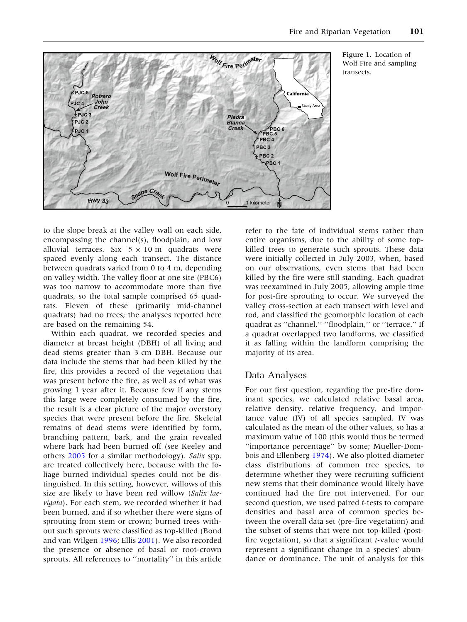<span id="page-2-0"></span>

Figure 1. Location of Wolf Fire and sampling transects.

to the slope break at the valley wall on each side, encompassing the channel(s), floodplain, and low alluvial terraces. Six  $5 \times 10$  m quadrats were spaced evenly along each transect. The distance between quadrats varied from 0 to 4 m, depending on valley width. The valley floor at one site (PBC6) was too narrow to accommodate more than five quadrats, so the total sample comprised 65 quadrats. Eleven of these (primarily mid-channel quadrats) had no trees; the analyses reported here are based on the remaining 54.

Within each quadrat, we recorded species and diameter at breast height (DBH) of all living and dead stems greater than 3 cm DBH. Because our data include the stems that had been killed by the fire, this provides a record of the vegetation that was present before the fire, as well as of what was growing 1 year after it. Because few if any stems this large were completely consumed by the fire, the result is a clear picture of the major overstory species that were present before the fire. Skeletal remains of dead stems were identified by form, branching pattern, bark, and the grain revealed where bark had been burned off (see Keeley and others [2005](#page-7-0) for a similar methodology). Salix spp. are treated collectively here, because with the foliage burned individual species could not be distinguished. In this setting, however, willows of this size are likely to have been red willow (Salix laevigata). For each stem, we recorded whether it had been burned, and if so whether there were signs of sprouting from stem or crown; burned trees without such sprouts were classified as top-killed (Bond and van Wilgen [1996](#page-7-0); Ellis [2001](#page-7-0)). We also recorded the presence or absence of basal or root-crown sprouts. All references to ''mortality'' in this article refer to the fate of individual stems rather than entire organisms, due to the ability of some topkilled trees to generate such sprouts. These data were initially collected in July 2003, when, based on our observations, even stems that had been killed by the fire were still standing. Each quadrat was reexamined in July 2005, allowing ample time for post-fire sprouting to occur. We surveyed the valley cross-section at each transect with level and rod, and classified the geomorphic location of each quadrat as ''channel,'' ''floodplain,'' or ''terrace.'' If a quadrat overlapped two landforms, we classified it as falling within the landform comprising the majority of its area.

#### Data Analyses

For our first question, regarding the pre-fire dominant species, we calculated relative basal area, relative density, relative frequency, and importance value (IV) of all species sampled. IV was calculated as the mean of the other values, so has a maximum value of 100 (this would thus be termed ''importance percentage'' by some; Mueller-Dombois and Ellenberg [1974\)](#page-8-0). We also plotted diameter class distributions of common tree species, to determine whether they were recruiting sufficient new stems that their dominance would likely have continued had the fire not intervened. For our second question, we used paired t-tests to compare densities and basal area of common species between the overall data set (pre-fire vegetation) and the subset of stems that were not top-killed (postfire vegetation), so that a significant  $t$ -value would represent a significant change in a species' abundance or dominance. The unit of analysis for this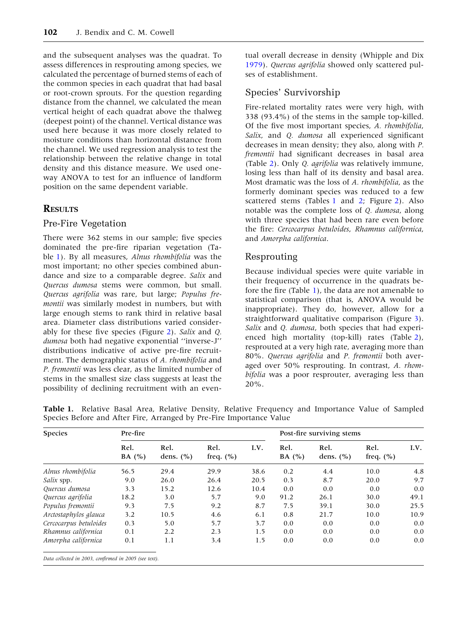and the subsequent analyses was the quadrat. To assess differences in resprouting among species, we calculated the percentage of burned stems of each of the common species in each quadrat that had basal or root-crown sprouts. For the question regarding distance from the channel, we calculated the mean vertical height of each quadrat above the thalweg (deepest point) of the channel. Vertical distance was used here because it was more closely related to moisture conditions than horizontal distance from the channel. We used regression analysis to test the relationship between the relative change in total density and this distance measure. We used oneway ANOVA to test for an influence of landform position on the same dependent variable.

# **RESULTS**

# Pre-Fire Vegetation

There were 362 stems in our sample; five species dominated the pre-fire riparian vegetation (Table 1). By all measures, Alnus rhombifolia was the most important; no other species combined abundance and size to a comparable degree. Salix and Quercus dumosa stems were common, but small. Quercus agrifolia was rare, but large; Populus fremontii was similarly modest in numbers, but with large enough stems to rank third in relative basal area. Diameter class distributions varied considerably for these five species (Figure [2](#page-4-0)). Salix and Q. dumosa both had negative exponential ''inverse-J'' distributions indicative of active pre-fire recruitment. The demographic status of A. rhombifolia and P. fremontii was less clear, as the limited number of stems in the smallest size class suggests at least the possibility of declining recruitment with an eventual overall decrease in density (Whipple and Dix [1979\)](#page-8-0). Quercus agrifolia showed only scattered pulses of establishment.

# Species' Survivorship

Fire-related mortality rates were very high, with 338 (93.4%) of the stems in the sample top-killed. Of the five most important species, A. rhombifolia, Salix, and Q. dumosa all experienced significant decreases in mean density; they also, along with P. fremontii had significant decreases in basal area (Table [2](#page-5-0)). Only Q. agrifolia was relatively immune, losing less than half of its density and basal area. Most dramatic was the loss of A. rhombifolia, as the formerly dominant species was reduced to a few scattered stems (Tables 1 and [2;](#page-5-0) Figure [2](#page-4-0)). Also notable was the complete loss of Q. dumosa, along with three species that had been rare even before the fire: Cercocarpus betuloides, Rhamnus californica, and Amorpha californica.

# Resprouting

Because individual species were quite variable in their frequency of occurrence in the quadrats before the fire (Table 1), the data are not amenable to statistical comparison (that is, ANOVA would be inappropriate). They do, however, allow for a straightforward qualitative comparison (Figure [3](#page-5-0)). Salix and Q. dumosa, both species that had experienced high mortality (top-kill) rates (Table [2](#page-5-0)), resprouted at a very high rate, averaging more than 80%. Quercus agrifolia and P. fremontii both averaged over 50% resprouting. In contrast, A. rhombifolia was a poor resprouter, averaging less than 20%.

| <b>Species</b>                                        | Pre-fire         |                       |                       |      | Post-fire surviving stems |                       |                       |      |
|-------------------------------------------------------|------------------|-----------------------|-----------------------|------|---------------------------|-----------------------|-----------------------|------|
|                                                       | Rel.<br>BA $(%)$ | Rel.<br>dens. $(\% )$ | Rel.<br>freq. $(\% )$ | I.V. | Rel.<br>BA $(%)$          | Rel.<br>dens. $(\% )$ | Rel.<br>freq. $(\% )$ | I.V. |
| Alnus rhombifolia                                     | 56.5             | 29.4                  | 29.9                  | 38.6 | 0.2                       | 4.4                   | 10.0                  | 4.8  |
| Salix spp.                                            | 9.0              | 26.0                  | 26.4                  | 20.5 | 0.3                       | 8.7                   | 20.0                  | 9.7  |
| Quercus dumosa                                        | 3.3              | 15.2                  | 12.6                  | 10.4 | 0.0                       | 0.0                   | 0.0                   | 0.0  |
| Quercus agrifolia                                     | 18.2             | 3.0                   | 5.7                   | 9.0  | 91.2                      | 26.1                  | 30.0                  | 49.1 |
| Populus fremontii                                     | 9.3              | 7.5                   | 9.2                   | 8.7  | 7.5                       | 39.1                  | 30.0                  | 25.5 |
| Arctostaphylos glauca                                 | 3.2              | 10.5                  | 4.6                   | 6.1  | 0.8                       | 21.7                  | 10.0                  | 10.9 |
| Cercocarpus betuloides                                | 0.3              | 5.0                   | 5.7                   | 3.7  | 0.0                       | 0.0                   | 0.0                   | 0.0  |
| Rhamnus californica                                   | 0.1              | 2.2                   | 2.3                   | 1.5  | 0.0                       | 0.0                   | 0.0                   | 0.0  |
| Amorpha californica                                   | 0.1              | 1.1                   | 3.4                   | 1.5  | 0.0                       | 0.0                   | 0.0                   | 0.0  |
| Data collected in 2003, confirmed in 2005 (see text). |                  |                       |                       |      |                           |                       |                       |      |

Table 1. Relative Basal Area, Relative Density, Relative Frequency and Importance Value of Sampled Species Before and After Fire, Arranged by Pre-Fire Importance Value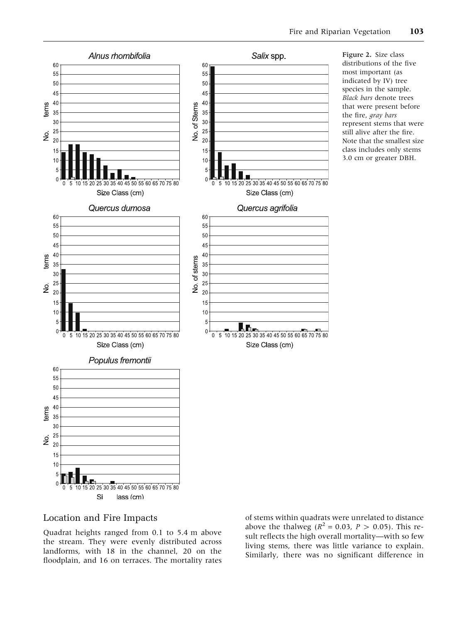<span id="page-4-0"></span>

## Location and Fire Impacts

Quadrat heights ranged from 0.1 to 5.4 m above the stream. They were evenly distributed across landforms, with 18 in the channel, 20 on the floodplain, and 16 on terraces. The mortality rates of stems within quadrats were unrelated to distance above the thalweg ( $R^2 = 0.03$ ,  $P > 0.05$ ). This result reflects the high overall mortality—with so few living stems, there was little variance to explain. Similarly, there was no significant difference in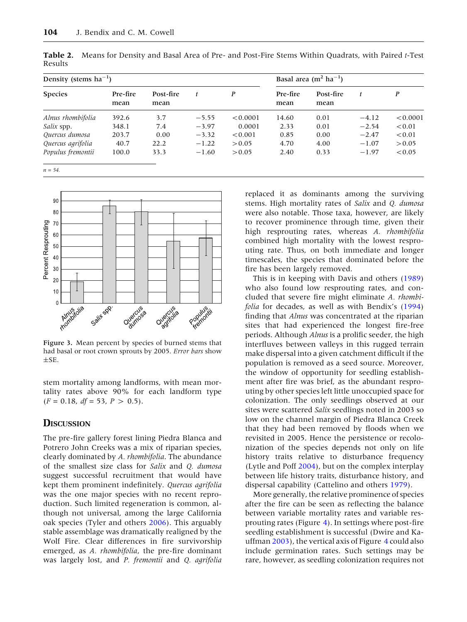| Density (stems $ha^{-1}$ ) |                  |                   |         |          | Basal area (m <sup>2</sup> ha <sup>-1</sup> ) |                   |         |          |  |
|----------------------------|------------------|-------------------|---------|----------|-----------------------------------------------|-------------------|---------|----------|--|
| <b>Species</b>             | Pre-fire<br>mean | Post-fire<br>mean | t       | P        | Pre-fire<br>mean                              | Post-fire<br>mean | t       | P        |  |
| Alnus rhombifolia          | 392.6            | 3.7               | $-5.55$ | < 0.0001 | 14.60                                         | 0.01              | $-4.12$ | < 0.0001 |  |
| Salix spp.                 | 348.1            | 7.4               | $-3.97$ | 0.0001   | 2.33                                          | 0.01              | $-2.54$ | < 0.01   |  |
| Quercus dumosa             | 203.7            | 0.00              | $-3.32$ | < 0.001  | 0.85                                          | 0.00              | $-2.47$ | < 0.01   |  |
| Quercus agrifolia          | 40.7             | 22.2              | $-1.22$ | > 0.05   | 4.70                                          | 4.00              | $-1.07$ | > 0.05   |  |
| Populus fremontii          | 100.0            | 33.3              | $-1.60$ | > 0.05   | 2.40                                          | 0.33              | $-1.97$ | < 0.05   |  |
| $n = 54$ .                 |                  |                   |         |          |                                               |                   |         |          |  |

<span id="page-5-0"></span>Table 2. Means for Density and Basal Area of Pre- and Post-Fire Stems Within Quadrats, with Paired t-Test Results



Figure 3. Mean percent by species of burned stems that had basal or root crown sprouts by 2005. Error bars show  $\pm$ SE.

stem mortality among landforms, with mean mortality rates above 90% for each landform type  $(F = 0.18, df = 53, P > 0.5).$ 

# **DISCUSSION**

The pre-fire gallery forest lining Piedra Blanca and Potrero John Creeks was a mix of riparian species, clearly dominated by A. rhombifolia. The abundance of the smallest size class for Salix and Q. dumosa suggest successful recruitment that would have kept them prominent indefinitely. Quercus agrifolia was the one major species with no recent reproduction. Such limited regeneration is common, although not universal, among the large California oak species (Tyler and others [2006\)](#page-8-0). This arguably stable assemblage was dramatically realigned by the Wolf Fire. Clear differences in fire survivorship emerged, as A. rhombifolia, the pre-fire dominant was largely lost, and P. fremontii and Q. agrifolia replaced it as dominants among the surviving stems. High mortality rates of Salix and Q. dumosa were also notable. Those taxa, however, are likely to recover prominence through time, given their high resprouting rates, whereas A. rhombifolia combined high mortality with the lowest resprouting rate. Thus, on both immediate and longer timescales, the species that dominated before the fire has been largely removed.

This is in keeping with Davis and others [\(1989](#page-7-0)) who also found low resprouting rates, and concluded that severe fire might eliminate A. rhombifolia for decades, as well as with Bendix's [\(1994](#page-7-0)) finding that *Alnus* was concentrated at the riparian sites that had experienced the longest fire-free periods. Although Alnus is a prolific seeder, the high interfluves between valleys in this rugged terrain make dispersal into a given catchment difficult if the population is removed as a seed source. Moreover, the window of opportunity for seedling establishment after fire was brief, as the abundant resprouting by other species left little unoccupied space for colonization. The only seedlings observed at our sites were scattered Salix seedlings noted in 2003 so low on the channel margin of Piedra Blanca Creek that they had been removed by floods when we revisited in 2005. Hence the persistence or recolonization of the species depends not only on life history traits relative to disturbance frequency (Lytle and Poff [2004](#page-8-0)), but on the complex interplay between life history traits, disturbance history, and dispersal capability (Cattelino and others [1979](#page-7-0)).

More generally, the relative prominence of species after the fire can be seen as reflecting the balance between variable mortality rates and variable resprouting rates (Figure [4](#page-6-0)). In settings where post-fire seedling establishment is successful (Dwire and Kauffman [2003](#page-7-0)), the vertical axis of Figure [4](#page-6-0) could also include germination rates. Such settings may be rare, however, as seedling colonization requires not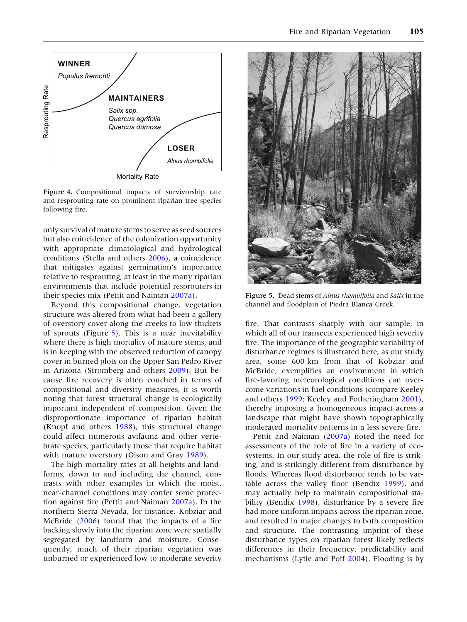<span id="page-6-0"></span>

Figure 4. Compositional impacts of survivorship rate and resprouting rate on prominent riparian tree species following fire.

only survival of mature stems to serve as seed sources but also coincidence of the colonization opportunity with appropriate climatological and hydrological conditions (Stella and others [2006\)](#page-8-0), a coincidence that mitigates against germination's importance relative to resprouting, at least in the many riparian environments that include potential resprouters in their species mix (Pettit and Naiman [2007a](#page-8-0)).

Beyond this compositional change, vegetation structure was altered from what had been a gallery of overstory cover along the creeks to low thickets of sprouts (Figure 5). This is a near inevitability where there is high mortality of mature stems, and is in keeping with the observed reduction of canopy cover in burned plots on the Upper San Pedro River in Arizona (Stromberg and others [2009\)](#page-8-0). But because fire recovery is often couched in terms of compositional and diversity measures, it is worth noting that forest structural change is ecologically important independent of composition. Given the disproportionate importance of riparian habitat (Knopf and others [1988\)](#page-8-0), this structural change could affect numerous avifauna and other vertebrate species, particularly those that require habitat with mature overstory (Olson and Gray [1989\)](#page-8-0).

The high mortality rates at all heights and landforms, down to and including the channel, contrasts with other examples in which the moist, near-channel conditions may confer some protection against fire (Pettit and Naiman [2007a\)](#page-8-0). In the northern Sierra Nevada, for instance, Kobziar and McBride [\(2006](#page-8-0)) found that the impacts of a fire backing slowly into the riparian zone were spatially segregated by landform and moisture. Consequently, much of their riparian vegetation was unburned or experienced low to moderate severity



Figure 5. Dead stems of Alnus rhombifolia and Salix in the channel and floodplain of Piedra Blanca Creek.

fire. That contrasts sharply with our sample, in which all of our transects experienced high severity fire. The importance of the geographic variability of disturbance regimes is illustrated here, as our study area, some 600 km from that of Kobziar and McBride, exemplifies an environment in which fire-favoring meteorological conditions can overcome variations in fuel conditions (compare Keeley and others [1999;](#page-7-0) Keeley and Fotheringham [2001](#page-7-0)), thereby imposing a homogeneous impact across a landscape that might have shown topographically moderated mortality patterns in a less severe fire.

Pettit and Naiman [\(2007a](#page-8-0)) noted the need for assessments of the role of fire in a variety of ecosystems. In our study area, the role of fire is striking, and is strikingly different from disturbance by floods. Whereas flood disturbance tends to be variable across the valley floor (Bendix [1999\)](#page-7-0), and may actually help to maintain compositional stability (Bendix [1998\)](#page-7-0), disturbance by a severe fire had more uniform impacts across the riparian zone, and resulted in major changes to both composition and structure. The contrasting imprint of these disturbance types on riparian forest likely reflects differences in their frequency, predictability and mechanisms (Lytle and Poff [2004](#page-8-0)). Flooding is by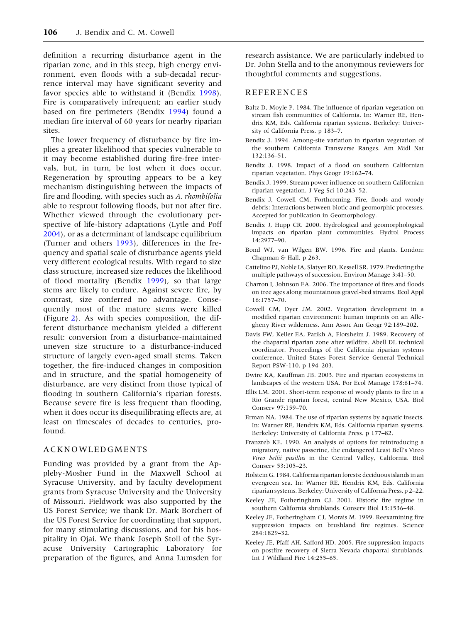<span id="page-7-0"></span>definition a recurring disturbance agent in the riparian zone, and in this steep, high energy environment, even floods with a sub-decadal recurrence interval may have significant severity and favor species able to withstand it (Bendix 1998). Fire is comparatively infrequent; an earlier study based on fire perimeters (Bendix 1994) found a median fire interval of 60 years for nearby riparian sites.

The lower frequency of disturbance by fire implies a greater likelihood that species vulnerable to it may become established during fire-free intervals, but, in turn, be lost when it does occur. Regeneration by sprouting appears to be a key mechanism distinguishing between the impacts of fire and flooding, with species such as A. rhombifolia able to resprout following floods, but not after fire. Whether viewed through the evolutionary perspective of life-history adaptations (Lytle and Poff [2004\)](#page-8-0), or as a determinant of landscape equilibrium (Turner and others [1993\)](#page-8-0), differences in the frequency and spatial scale of disturbance agents yield very different ecological results. With regard to size class structure, increased size reduces the likelihood of flood mortality (Bendix 1999), so that large stems are likely to endure. Against severe fire, by contrast, size conferred no advantage. Consequently most of the mature stems were killed (Figure [2\)](#page-4-0). As with species composition, the different disturbance mechanism yielded a different result: conversion from a disturbance-maintained uneven size structure to a disturbance-induced structure of largely even-aged small stems. Taken together, the fire-induced changes in composition and in structure, and the spatial homogeneity of disturbance, are very distinct from those typical of flooding in southern California's riparian forests. Because severe fire is less frequent than flooding, when it does occur its disequilibrating effects are, at least on timescales of decades to centuries, profound.

#### ACKNOWLEDGMENTS

Funding was provided by a grant from the Appleby-Mosher Fund in the Maxwell School at Syracuse University, and by faculty development grants from Syracuse University and the University of Missouri. Fieldwork was also supported by the US Forest Service; we thank Dr. Mark Borchert of the US Forest Service for coordinating that support, for many stimulating discussions, and for his hospitality in Ojai. We thank Joseph Stoll of the Syracuse University Cartographic Laboratory for preparation of the figures, and Anna Lumsden for research assistance. We are particularly indebted to Dr. John Stella and to the anonymous reviewers for thoughtful comments and suggestions.

#### REFERENCES

- Baltz D, Moyle P. 1984. The influence of riparian vegetation on stream fish communities of California. In: Warner RE, Hendrix KM, Eds. California riparian systems. Berkeley: University of California Press. p 183–7.
- Bendix J. 1994. Among-site variation in riparian vegetation of the southern California Transverse Ranges. Am Midl Nat 132:136–51.
- Bendix J. 1998. Impact of a flood on southern Californian riparian vegetation. Phys Geogr 19:162–74.
- Bendix J. 1999. Stream power influence on southern Californian riparian vegetation. J Veg Sci 10:243–52.
- Bendix J, Cowell CM. Forthcoming. Fire, floods and woody debris: Interactions between biotic and geomorphic processes. Accepted for publication in Geomorphology.
- Bendix J, Hupp CR. 2000. Hydrological and geomorphological impacts on riparian plant communities. Hydrol Process 14:2977–90.
- Bond WJ, van Wilgen BW. 1996. Fire and plants. London: Chapman & Hall. p 263.
- Cattelino PJ, Noble IA, Slatyer RO, Kessell SR. 1979. Predicting the multiple pathways of succession. Environ Manage 3:41–50.
- Charron I, Johnson EA. 2006. The importance of fires and floods on tree ages along mountainous gravel-bed streams. Ecol Appl 16:1757–70.
- Cowell CM, Dyer JM. 2002. Vegetation development in a modified riparian environment: human imprints on an Allegheny River wilderness. Ann Assoc Am Geogr 92:189–202.
- Davis FW, Keller EA, Parikh A, Florsheim J. 1989. Recovery of the chaparral riparian zone after wildfire. Abell DL technical coordinator. Proceedings of the California riparian systems conference. United States Forest Service General Technical Report PSW-110. p 194–203.
- Dwire KA, Kauffman JB. 2003. Fire and riparian ecosystems in landscapes of the western USA. For Ecol Manage 178:61–74.
- Ellis LM. 2001. Short-term response of woody plants to fire in a Rio Grande riparian forest, central New Mexico, USA. Biol Conserv 97:159–70.
- Erman NA. 1984. The use of riparian systems by aquatic insects. In: Warner RE, Hendrix KM, Eds. California riparian systems. Berkeley: University of California Press. p 177–82.
- Franzreb KE. 1990. An analysis of options for reintroducing a migratory, native passerine, the endangered Least Bell's Vireo Vireo bellii pusillus in the Central Valley, California. Biol Conserv 53:105–23.
- Holstein G. 1984. California riparian forests: deciduous islands in an evergreen sea. In: Warner RE, Hendrix KM, Eds. California riparian systems. Berkeley: University of California Press. p 2–22.
- Keeley JE, Fotheringham CJ. 2001. Historic fire regime in southern California shrublands. Conserv Biol 15:1536–48.
- Keeley JE, Fotheringham CJ, Morais M. 1999. Reexamining fire suppression impacts on brushland fire regimes. Science 284:1829–32.
- Keeley JE, Pfaff AH, Safford HD. 2005. Fire suppression impacts on postfire recovery of Sierra Nevada chaparral shrublands. Int J Wildland Fire 14:255–65.